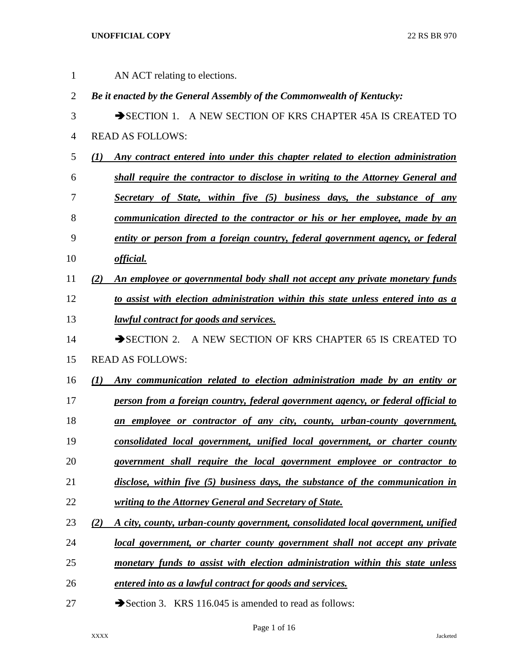| 1              |                  | AN ACT relating to elections.                                                     |
|----------------|------------------|-----------------------------------------------------------------------------------|
| $\overline{2}$ |                  | Be it enacted by the General Assembly of the Commonwealth of Kentucky:            |
| 3              |                  | SECTION 1. A NEW SECTION OF KRS CHAPTER 45A IS CREATED TO                         |
| 4              |                  | <b>READ AS FOLLOWS:</b>                                                           |
| 5              | (I)              | Any contract entered into under this chapter related to election administration   |
| 6              |                  | shall require the contractor to disclose in writing to the Attorney General and   |
| 7              |                  | Secretary of State, within five (5) business days, the substance of any           |
| 8              |                  | communication directed to the contractor or his or her employee, made by an       |
| 9              |                  | entity or person from a foreign country, federal government agency, or federal    |
| 10             |                  | <i>official.</i>                                                                  |
| 11             | (2)              | An employee or governmental body shall not accept any private monetary funds      |
| 12             |                  | to assist with election administration within this state unless entered into as a |
| 13             |                  | <i>lawful contract for goods and services.</i>                                    |
| 14             |                  | SECTION 2. A NEW SECTION OF KRS CHAPTER 65 IS CREATED TO                          |
| 15             |                  | <b>READ AS FOLLOWS:</b>                                                           |
| 16             | $\left(1\right)$ | Any communication related to election administration made by an entity or         |
| 17             |                  | person from a foreign country, federal government agency, or federal official to  |
| 18             |                  | an employee or contractor of any city, county, urban-county government,           |
| 19             |                  | consolidated local government, unified local government, or charter county        |
| 20             |                  | government shall require the local government employee or contractor to           |
| 21             |                  | disclose, within five (5) business days, the substance of the communication in    |
| 22             |                  | writing to the Attorney General and Secretary of State.                           |
| 23             | (2)              | A city, county, urban-county government, consolidated local government, unified   |
| 24             |                  | local government, or charter county government shall not accept any private       |
| 25             |                  | monetary funds to assist with election administration within this state unless    |
| 26             |                  | entered into as a lawful contract for goods and services.                         |
| 27             |                  | Section 3. KRS 116.045 is amended to read as follows:                             |

# Page 1 of 16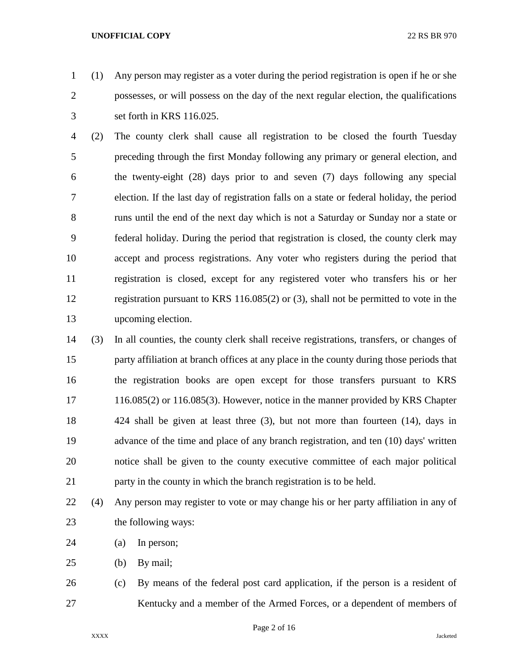(1) Any person may register as a voter during the period registration is open if he or she possesses, or will possess on the day of the next regular election, the qualifications set forth in KRS 116.025.

 (2) The county clerk shall cause all registration to be closed the fourth Tuesday preceding through the first Monday following any primary or general election, and the twenty-eight (28) days prior to and seven (7) days following any special election. If the last day of registration falls on a state or federal holiday, the period runs until the end of the next day which is not a Saturday or Sunday nor a state or federal holiday. During the period that registration is closed, the county clerk may accept and process registrations. Any voter who registers during the period that registration is closed, except for any registered voter who transfers his or her registration pursuant to KRS 116.085(2) or (3), shall not be permitted to vote in the upcoming election.

 (3) In all counties, the county clerk shall receive registrations, transfers, or changes of party affiliation at branch offices at any place in the county during those periods that the registration books are open except for those transfers pursuant to KRS 116.085(2) or 116.085(3). However, notice in the manner provided by KRS Chapter 424 shall be given at least three (3), but not more than fourteen (14), days in advance of the time and place of any branch registration, and ten (10) days' written notice shall be given to the county executive committee of each major political party in the county in which the branch registration is to be held.

- (4) Any person may register to vote or may change his or her party affiliation in any of the following ways:
- (a) In person;
- (b) By mail;

 (c) By means of the federal post card application, if the person is a resident of Kentucky and a member of the Armed Forces, or a dependent of members of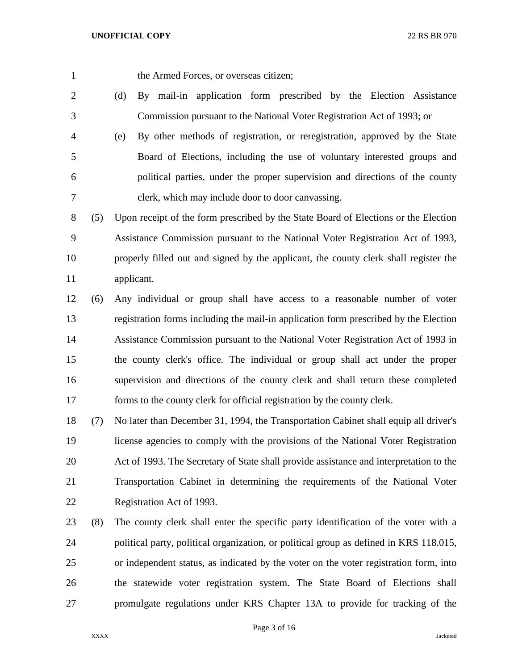the Armed Forces, or overseas citizen;

- (d) By mail-in application form prescribed by the Election Assistance Commission pursuant to the National Voter Registration Act of 1993; or
- (e) By other methods of registration, or reregistration, approved by the State Board of Elections, including the use of voluntary interested groups and political parties, under the proper supervision and directions of the county clerk, which may include door to door canvassing.
- (5) Upon receipt of the form prescribed by the State Board of Elections or the Election Assistance Commission pursuant to the National Voter Registration Act of 1993, properly filled out and signed by the applicant, the county clerk shall register the applicant.
- (6) Any individual or group shall have access to a reasonable number of voter registration forms including the mail-in application form prescribed by the Election Assistance Commission pursuant to the National Voter Registration Act of 1993 in the county clerk's office. The individual or group shall act under the proper supervision and directions of the county clerk and shall return these completed forms to the county clerk for official registration by the county clerk.
- (7) No later than December 31, 1994, the Transportation Cabinet shall equip all driver's license agencies to comply with the provisions of the National Voter Registration Act of 1993. The Secretary of State shall provide assistance and interpretation to the Transportation Cabinet in determining the requirements of the National Voter Registration Act of 1993.
- (8) The county clerk shall enter the specific party identification of the voter with a political party, political organization, or political group as defined in KRS 118.015, or independent status, as indicated by the voter on the voter registration form, into the statewide voter registration system. The State Board of Elections shall promulgate regulations under KRS Chapter 13A to provide for tracking of the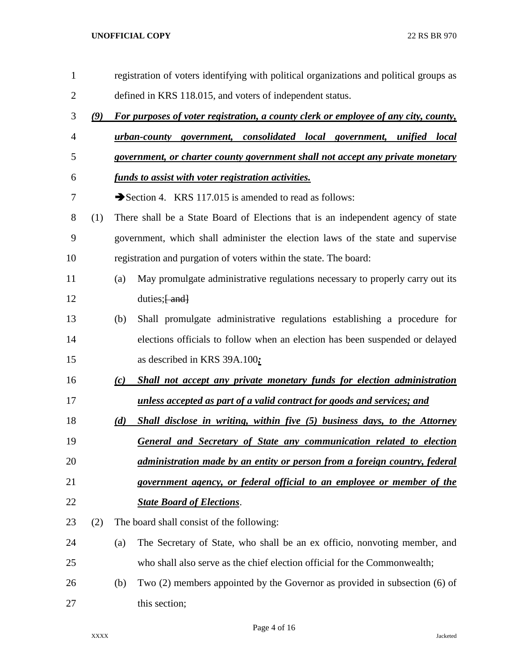| $\mathbf{1}$   |     |     | registration of voters identifying with political organizations and political groups as |
|----------------|-----|-----|-----------------------------------------------------------------------------------------|
| $\overline{2}$ |     |     | defined in KRS 118.015, and voters of independent status.                               |
| 3              | (9) |     | For purposes of voter registration, a county clerk or employee of any city, county,     |
| 4              |     |     | <u>urban-county government, consolidated local government, unified local</u>            |
| 5              |     |     | government, or charter county government shall not accept any private monetary          |
| 6              |     |     | <u>funds to assist with voter registration activities.</u>                              |
| 7              |     |     | Section 4. KRS 117.015 is amended to read as follows:                                   |
| 8              | (1) |     | There shall be a State Board of Elections that is an independent agency of state        |
| 9              |     |     | government, which shall administer the election laws of the state and supervise         |
| 10             |     |     | registration and purgation of voters within the state. The board:                       |
| 11             |     | (a) | May promulgate administrative regulations necessary to properly carry out its           |
| 12             |     |     | duties; $\frac{1}{2}$ and                                                               |
| 13             |     | (b) | Shall promulgate administrative regulations establishing a procedure for                |
| 14             |     |     | elections officials to follow when an election has been suspended or delayed            |
| 15             |     |     | as described in KRS 39A.100;                                                            |
| 16             |     | (c) | Shall not accept any private monetary funds for election administration                 |
| 17             |     |     | unless accepted as part of a valid contract for goods and services; and                 |
| 18             |     | (d) | Shall disclose in writing, within five (5) business days, to the Attorney               |
| 19             |     |     | General and Secretary of State any communication related to election                    |
| 20             |     |     | administration made by an entity or person from a foreign country, federal              |
| 21             |     |     | government agency, or federal official to an employee or member of the                  |
| 22             |     |     | <b>State Board of Elections.</b>                                                        |
| 23             | (2) |     | The board shall consist of the following:                                               |
| 24             |     | (a) | The Secretary of State, who shall be an ex officio, nonvoting member, and               |
| 25             |     |     | who shall also serve as the chief election official for the Commonwealth;               |
| 26             |     | (b) | Two (2) members appointed by the Governor as provided in subsection (6) of              |
| 27             |     |     | this section;                                                                           |

Page 4 of 16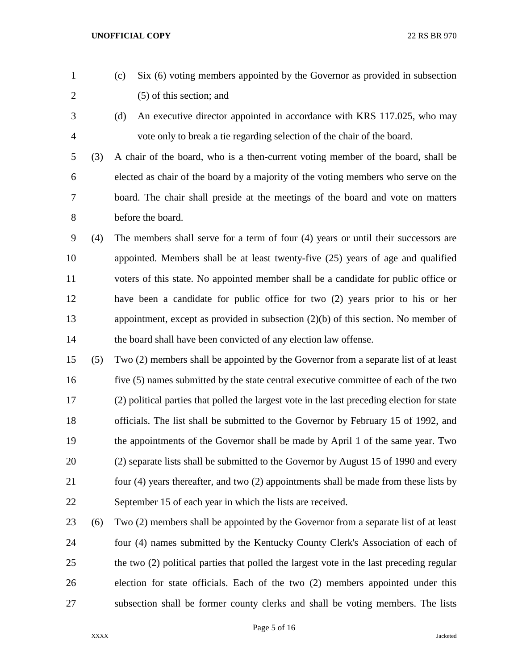- (c) Six (6) voting members appointed by the Governor as provided in subsection (5) of this section; and
- 
- (d) An executive director appointed in accordance with KRS 117.025, who may vote only to break a tie regarding selection of the chair of the board.

 (3) A chair of the board, who is a then-current voting member of the board, shall be elected as chair of the board by a majority of the voting members who serve on the board. The chair shall preside at the meetings of the board and vote on matters before the board.

- (4) The members shall serve for a term of four (4) years or until their successors are appointed. Members shall be at least twenty-five (25) years of age and qualified voters of this state. No appointed member shall be a candidate for public office or have been a candidate for public office for two (2) years prior to his or her appointment, except as provided in subsection (2)(b) of this section. No member of the board shall have been convicted of any election law offense.
- (5) Two (2) members shall be appointed by the Governor from a separate list of at least five (5) names submitted by the state central executive committee of each of the two (2) political parties that polled the largest vote in the last preceding election for state officials. The list shall be submitted to the Governor by February 15 of 1992, and the appointments of the Governor shall be made by April 1 of the same year. Two (2) separate lists shall be submitted to the Governor by August 15 of 1990 and every four (4) years thereafter, and two (2) appointments shall be made from these lists by September 15 of each year in which the lists are received.
- (6) Two (2) members shall be appointed by the Governor from a separate list of at least four (4) names submitted by the Kentucky County Clerk's Association of each of the two (2) political parties that polled the largest vote in the last preceding regular election for state officials. Each of the two (2) members appointed under this subsection shall be former county clerks and shall be voting members. The lists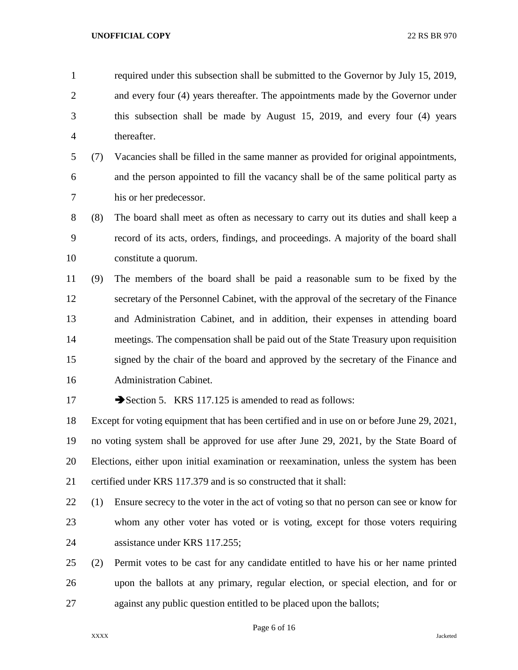required under this subsection shall be submitted to the Governor by July 15, 2019, and every four (4) years thereafter. The appointments made by the Governor under this subsection shall be made by August 15, 2019, and every four (4) years thereafter.

 (7) Vacancies shall be filled in the same manner as provided for original appointments, and the person appointed to fill the vacancy shall be of the same political party as his or her predecessor.

 (8) The board shall meet as often as necessary to carry out its duties and shall keep a record of its acts, orders, findings, and proceedings. A majority of the board shall constitute a quorum.

 (9) The members of the board shall be paid a reasonable sum to be fixed by the secretary of the Personnel Cabinet, with the approval of the secretary of the Finance and Administration Cabinet, and in addition, their expenses in attending board meetings. The compensation shall be paid out of the State Treasury upon requisition signed by the chair of the board and approved by the secretary of the Finance and Administration Cabinet.

17 Section 5. KRS 117.125 is amended to read as follows:

 Except for voting equipment that has been certified and in use on or before June 29, 2021, no voting system shall be approved for use after June 29, 2021, by the State Board of Elections, either upon initial examination or reexamination, unless the system has been certified under KRS 117.379 and is so constructed that it shall:

 (1) Ensure secrecy to the voter in the act of voting so that no person can see or know for whom any other voter has voted or is voting, except for those voters requiring assistance under KRS 117.255;

 (2) Permit votes to be cast for any candidate entitled to have his or her name printed upon the ballots at any primary, regular election, or special election, and for or against any public question entitled to be placed upon the ballots;

Page 6 of 16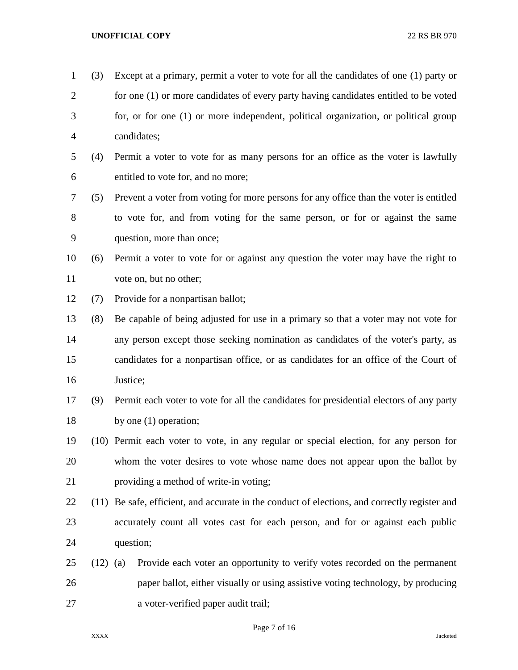| $\mathbf{1}$   | (3)        | Except at a primary, permit a voter to vote for all the candidates of one (1) party or        |
|----------------|------------|-----------------------------------------------------------------------------------------------|
| $\overline{2}$ |            | for one (1) or more candidates of every party having candidates entitled to be voted          |
| 3              |            | for, or for one (1) or more independent, political organization, or political group           |
| $\overline{4}$ |            | candidates;                                                                                   |
| 5              | (4)        | Permit a voter to vote for as many persons for an office as the voter is lawfully             |
| 6              |            | entitled to vote for, and no more;                                                            |
| $\tau$         | (5)        | Prevent a voter from voting for more persons for any office than the voter is entitled        |
| 8              |            | to vote for, and from voting for the same person, or for or against the same                  |
| 9              |            | question, more than once;                                                                     |
| 10             | (6)        | Permit a voter to vote for or against any question the voter may have the right to            |
| 11             |            | vote on, but no other;                                                                        |
| 12             | (7)        | Provide for a nonpartisan ballot;                                                             |
| 13             | (8)        | Be capable of being adjusted for use in a primary so that a voter may not vote for            |
| 14             |            | any person except those seeking nomination as candidates of the voter's party, as             |
| 15             |            | candidates for a nonpartisan office, or as candidates for an office of the Court of           |
| 16             |            | Justice;                                                                                      |
| 17             | (9)        | Permit each voter to vote for all the candidates for presidential electors of any party       |
| 18             |            | by one $(1)$ operation;                                                                       |
| 19             |            | (10) Permit each voter to vote, in any regular or special election, for any person for        |
| 20             |            | whom the voter desires to vote whose name does not appear upon the ballot by                  |
| 21             |            | providing a method of write-in voting;                                                        |
| 22             |            | (11) Be safe, efficient, and accurate in the conduct of elections, and correctly register and |
| 23             |            | accurately count all votes cast for each person, and for or against each public               |
| 24             |            | question;                                                                                     |
| 25             | $(12)$ (a) | Provide each voter an opportunity to verify votes recorded on the permanent                   |
| 26             |            | paper ballot, either visually or using assistive voting technology, by producing              |
| 27             |            | a voter-verified paper audit trail;                                                           |

Page 7 of 16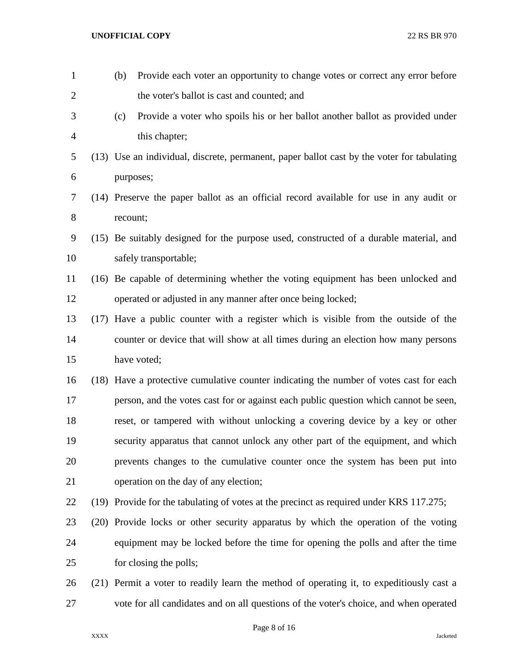| $\mathbf{1}$   | (b)      | Provide each voter an opportunity to change votes or correct any error before              |
|----------------|----------|--------------------------------------------------------------------------------------------|
| $\overline{2}$ |          | the voter's ballot is cast and counted; and                                                |
| 3              | (c)      | Provide a voter who spoils his or her ballot another ballot as provided under              |
| $\overline{4}$ |          | this chapter;                                                                              |
| 5              |          | (13) Use an individual, discrete, permanent, paper ballot cast by the voter for tabulating |
| 6              |          | purposes;                                                                                  |
| $\tau$         |          | (14) Preserve the paper ballot as an official record available for use in any audit or     |
| $8\,$          | recount; |                                                                                            |
| 9              |          | (15) Be suitably designed for the purpose used, constructed of a durable material, and     |
| 10             |          | safely transportable;                                                                      |
| 11             |          | (16) Be capable of determining whether the voting equipment has been unlocked and          |
| 12             |          | operated or adjusted in any manner after once being locked;                                |
| 13             |          | (17) Have a public counter with a register which is visible from the outside of the        |
| 14             |          | counter or device that will show at all times during an election how many persons          |
| 15             |          | have voted;                                                                                |
| 16             |          | (18) Have a protective cumulative counter indicating the number of votes cast for each     |
| 17             |          | person, and the votes cast for or against each public question which cannot be seen,       |
| 18             |          | reset, or tampered with without unlocking a covering device by a key or other              |
| 19             |          | security apparatus that cannot unlock any other part of the equipment, and which           |
| 20             |          | prevents changes to the cumulative counter once the system has been put into               |
| 21             |          | operation on the day of any election;                                                      |
| 22             |          | (19) Provide for the tabulating of votes at the precinct as required under KRS 117.275;    |
| 23             |          | (20) Provide locks or other security apparatus by which the operation of the voting        |
| 24             |          | equipment may be locked before the time for opening the polls and after the time           |
| 25             |          | for closing the polls;                                                                     |
| 26             |          | (21) Permit a voter to readily learn the method of operating it, to expeditiously cast a   |
| 27             |          | vote for all candidates and on all questions of the voter's choice, and when operated      |

Page 8 of 16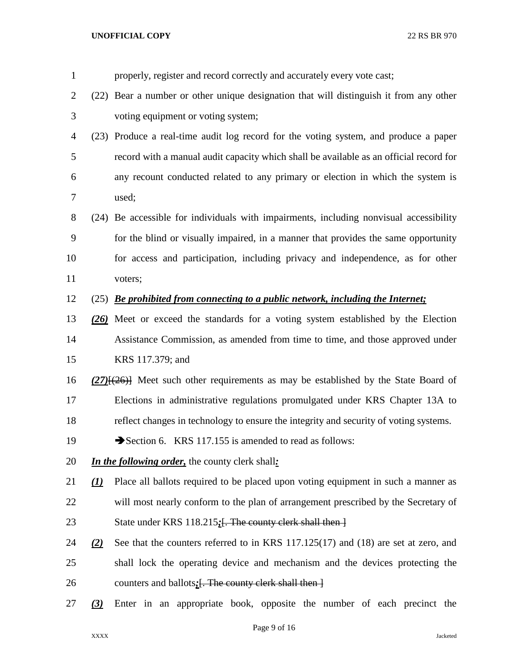| $\mathbf{1}$   |                                | properly, register and record correctly and accurately every vote cast;                    |
|----------------|--------------------------------|--------------------------------------------------------------------------------------------|
| $\overline{2}$ |                                | (22) Bear a number or other unique designation that will distinguish it from any other     |
| 3              |                                | voting equipment or voting system;                                                         |
| 4              |                                | (23) Produce a real-time audit log record for the voting system, and produce a paper       |
| 5              |                                | record with a manual audit capacity which shall be available as an official record for     |
| 6              |                                | any recount conducted related to any primary or election in which the system is            |
| 7              |                                | used;                                                                                      |
| 8              |                                | (24) Be accessible for individuals with impairments, including nonvisual accessibility     |
| 9              |                                | for the blind or visually impaired, in a manner that provides the same opportunity         |
| 10             |                                | for access and participation, including privacy and independence, as for other             |
| 11             |                                | voters;                                                                                    |
| 12             |                                | $(25)$ Be prohibited from connecting to a public network, including the Internet;          |
| 13             |                                | (26) Meet or exceed the standards for a voting system established by the Election          |
| 14             |                                | Assistance Commission, as amended from time to time, and those approved under              |
| 15             |                                | KRS 117.379; and                                                                           |
| 16             |                                | $(27)$ [ $(26)$ ] Meet such other requirements as may be established by the State Board of |
| 17             |                                | Elections in administrative regulations promulgated under KRS Chapter 13A to               |
| 18             |                                | reflect changes in technology to ensure the integrity and security of voting systems.      |
| 19             |                                | Section 6. KRS 117.155 is amended to read as follows:                                      |
| 20             |                                | In the following order, the county clerk shall:                                            |
| 21             | $\left( \underline{I} \right)$ | Place all ballots required to be placed upon voting equipment in such a manner as          |
| 22             |                                | will most nearly conform to the plan of arrangement prescribed by the Secretary of         |
| 23             |                                | State under KRS 118.215. The county clerk shall then }                                     |
| 24             | (2)                            | See that the counters referred to in KRS $117.125(17)$ and $(18)$ are set at zero, and     |
| 25             |                                | shall lock the operating device and mechanism and the devices protecting the               |
| 26             |                                | counters and ballots: [. The county clerk shall then ]                                     |
| 27             | $\underline{3}$                | Enter in an appropriate book, opposite the number of each precinct the                     |
|                |                                |                                                                                            |

Page 9 of 16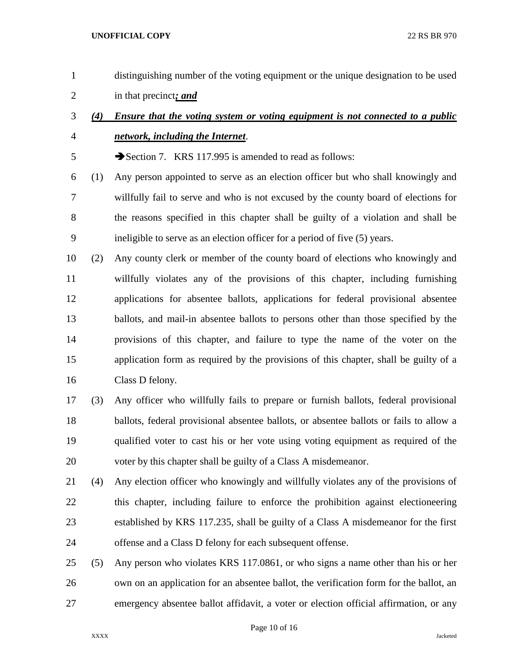- distinguishing number of the voting equipment or the unique designation to be used in that precinct*; and*
- *(4) Ensure that the voting system or voting equipment is not connected to a public network, including the Internet*.

Section 7. KRS 117.995 is amended to read as follows:

- (1) Any person appointed to serve as an election officer but who shall knowingly and willfully fail to serve and who is not excused by the county board of elections for the reasons specified in this chapter shall be guilty of a violation and shall be ineligible to serve as an election officer for a period of five (5) years.
- (2) Any county clerk or member of the county board of elections who knowingly and willfully violates any of the provisions of this chapter, including furnishing applications for absentee ballots, applications for federal provisional absentee ballots, and mail-in absentee ballots to persons other than those specified by the provisions of this chapter, and failure to type the name of the voter on the application form as required by the provisions of this chapter, shall be guilty of a Class D felony.
- (3) Any officer who willfully fails to prepare or furnish ballots, federal provisional ballots, federal provisional absentee ballots, or absentee ballots or fails to allow a qualified voter to cast his or her vote using voting equipment as required of the voter by this chapter shall be guilty of a Class A misdemeanor.
- (4) Any election officer who knowingly and willfully violates any of the provisions of this chapter, including failure to enforce the prohibition against electioneering established by KRS 117.235, shall be guilty of a Class A misdemeanor for the first offense and a Class D felony for each subsequent offense.
- (5) Any person who violates KRS 117.0861, or who signs a name other than his or her own on an application for an absentee ballot, the verification form for the ballot, an emergency absentee ballot affidavit, a voter or election official affirmation, or any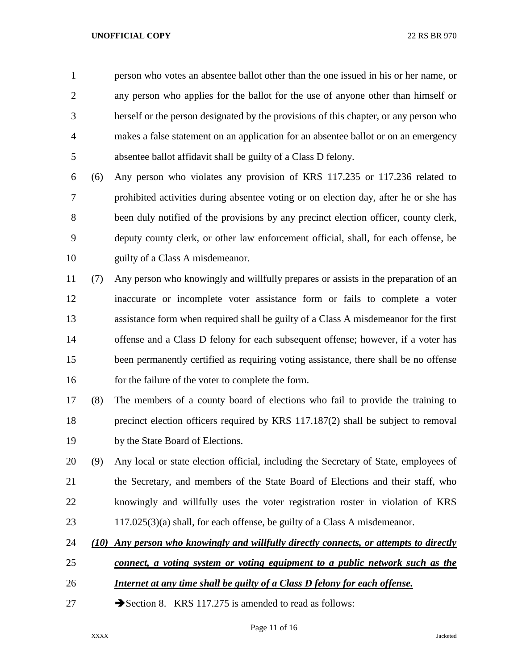person who votes an absentee ballot other than the one issued in his or her name, or any person who applies for the ballot for the use of anyone other than himself or herself or the person designated by the provisions of this chapter, or any person who makes a false statement on an application for an absentee ballot or on an emergency absentee ballot affidavit shall be guilty of a Class D felony.

 (6) Any person who violates any provision of KRS 117.235 or 117.236 related to prohibited activities during absentee voting or on election day, after he or she has been duly notified of the provisions by any precinct election officer, county clerk, deputy county clerk, or other law enforcement official, shall, for each offense, be 10 guilty of a Class A misdemeanor.

 (7) Any person who knowingly and willfully prepares or assists in the preparation of an inaccurate or incomplete voter assistance form or fails to complete a voter assistance form when required shall be guilty of a Class A misdemeanor for the first offense and a Class D felony for each subsequent offense; however, if a voter has been permanently certified as requiring voting assistance, there shall be no offense 16 for the failure of the voter to complete the form.

 (8) The members of a county board of elections who fail to provide the training to precinct election officers required by KRS 117.187(2) shall be subject to removal by the State Board of Elections.

 (9) Any local or state election official, including the Secretary of State, employees of the Secretary, and members of the State Board of Elections and their staff, who knowingly and willfully uses the voter registration roster in violation of KRS 117.025(3)(a) shall, for each offense, be guilty of a Class A misdemeanor.

*(10) Any person who knowingly and willfully directly connects, or attempts to directly* 

- *connect, a voting system or voting equipment to a public network such as the*
- *Internet at any time shall be guilty of a Class D felony for each offense.*
- 27 Section 8. KRS 117.275 is amended to read as follows: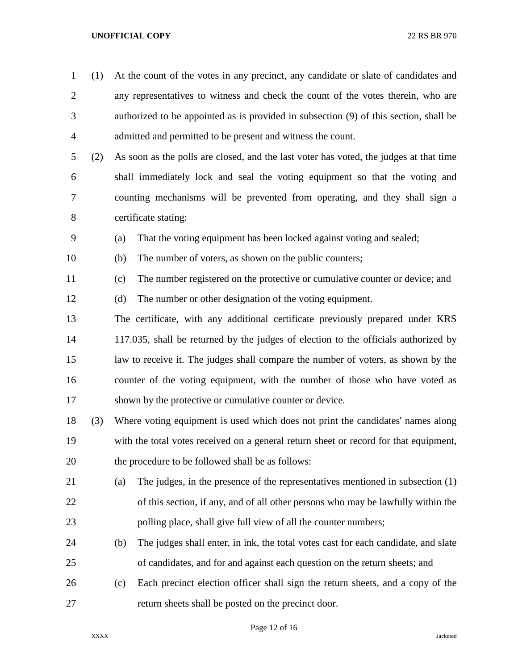- (1) At the count of the votes in any precinct, any candidate or slate of candidates and any representatives to witness and check the count of the votes therein, who are authorized to be appointed as is provided in subsection (9) of this section, shall be admitted and permitted to be present and witness the count.
- (2) As soon as the polls are closed, and the last voter has voted, the judges at that time shall immediately lock and seal the voting equipment so that the voting and counting mechanisms will be prevented from operating, and they shall sign a certificate stating:
- (a) That the voting equipment has been locked against voting and sealed;
- (b) The number of voters, as shown on the public counters;
- (c) The number registered on the protective or cumulative counter or device; and
- (d) The number or other designation of the voting equipment.
- The certificate, with any additional certificate previously prepared under KRS 117.035, shall be returned by the judges of election to the officials authorized by law to receive it. The judges shall compare the number of voters, as shown by the counter of the voting equipment, with the number of those who have voted as shown by the protective or cumulative counter or device.
- (3) Where voting equipment is used which does not print the candidates' names along with the total votes received on a general return sheet or record for that equipment, the procedure to be followed shall be as follows:
- (a) The judges, in the presence of the representatives mentioned in subsection (1) of this section, if any, and of all other persons who may be lawfully within the polling place, shall give full view of all the counter numbers;
- (b) The judges shall enter, in ink, the total votes cast for each candidate, and slate of candidates, and for and against each question on the return sheets; and
- (c) Each precinct election officer shall sign the return sheets, and a copy of the return sheets shall be posted on the precinct door.

Page 12 of 16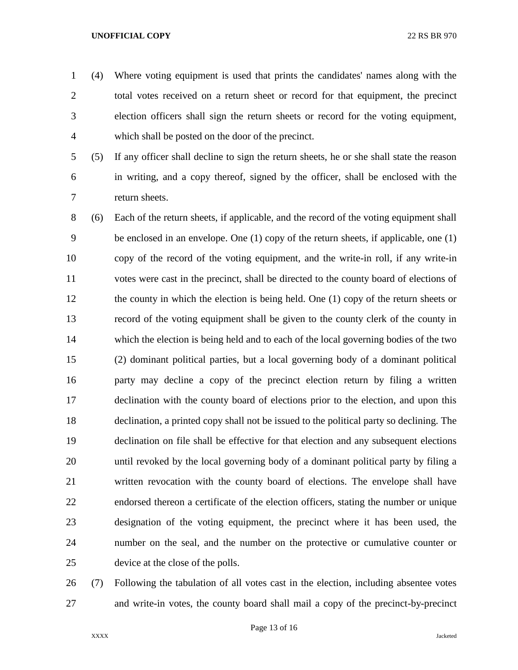- (4) Where voting equipment is used that prints the candidates' names along with the total votes received on a return sheet or record for that equipment, the precinct election officers shall sign the return sheets or record for the voting equipment, which shall be posted on the door of the precinct.
- 

 (5) If any officer shall decline to sign the return sheets, he or she shall state the reason in writing, and a copy thereof, signed by the officer, shall be enclosed with the return sheets.

 (6) Each of the return sheets, if applicable, and the record of the voting equipment shall be enclosed in an envelope. One (1) copy of the return sheets, if applicable, one (1) copy of the record of the voting equipment, and the write-in roll, if any write-in votes were cast in the precinct, shall be directed to the county board of elections of the county in which the election is being held. One (1) copy of the return sheets or record of the voting equipment shall be given to the county clerk of the county in which the election is being held and to each of the local governing bodies of the two (2) dominant political parties, but a local governing body of a dominant political party may decline a copy of the precinct election return by filing a written declination with the county board of elections prior to the election, and upon this declination, a printed copy shall not be issued to the political party so declining. The declination on file shall be effective for that election and any subsequent elections until revoked by the local governing body of a dominant political party by filing a written revocation with the county board of elections. The envelope shall have endorsed thereon a certificate of the election officers, stating the number or unique designation of the voting equipment, the precinct where it has been used, the number on the seal, and the number on the protective or cumulative counter or device at the close of the polls.

 (7) Following the tabulation of all votes cast in the election, including absentee votes and write-in votes, the county board shall mail a copy of the precinct-by-precinct

Page 13 of 16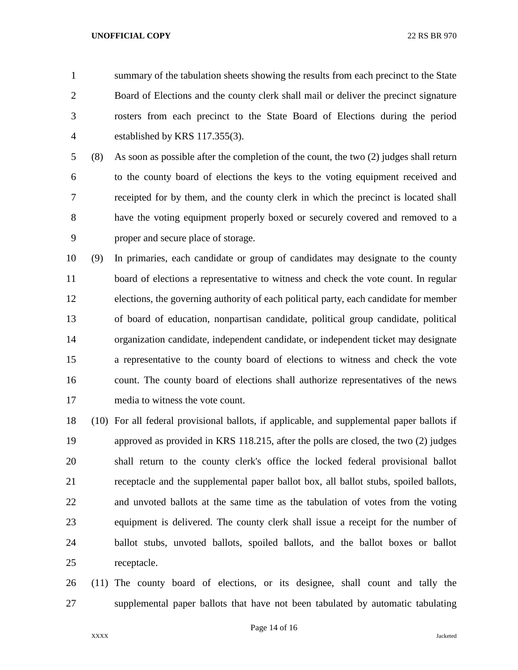summary of the tabulation sheets showing the results from each precinct to the State Board of Elections and the county clerk shall mail or deliver the precinct signature rosters from each precinct to the State Board of Elections during the period established by KRS 117.355(3).

 (8) As soon as possible after the completion of the count, the two (2) judges shall return to the county board of elections the keys to the voting equipment received and receipted for by them, and the county clerk in which the precinct is located shall have the voting equipment properly boxed or securely covered and removed to a proper and secure place of storage.

 (9) In primaries, each candidate or group of candidates may designate to the county board of elections a representative to witness and check the vote count. In regular elections, the governing authority of each political party, each candidate for member of board of education, nonpartisan candidate, political group candidate, political organization candidate, independent candidate, or independent ticket may designate a representative to the county board of elections to witness and check the vote count. The county board of elections shall authorize representatives of the news media to witness the vote count.

 (10) For all federal provisional ballots, if applicable, and supplemental paper ballots if approved as provided in KRS 118.215, after the polls are closed, the two (2) judges shall return to the county clerk's office the locked federal provisional ballot receptacle and the supplemental paper ballot box, all ballot stubs, spoiled ballots, and unvoted ballots at the same time as the tabulation of votes from the voting equipment is delivered. The county clerk shall issue a receipt for the number of ballot stubs, unvoted ballots, spoiled ballots, and the ballot boxes or ballot receptacle.

 (11) The county board of elections, or its designee, shall count and tally the supplemental paper ballots that have not been tabulated by automatic tabulating

Page 14 of 16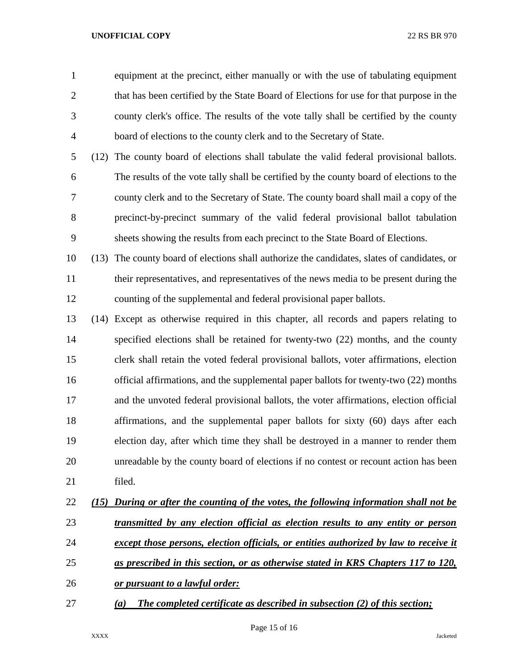equipment at the precinct, either manually or with the use of tabulating equipment 2 that has been certified by the State Board of Elections for use for that purpose in the county clerk's office. The results of the vote tally shall be certified by the county board of elections to the county clerk and to the Secretary of State.

 (12) The county board of elections shall tabulate the valid federal provisional ballots. The results of the vote tally shall be certified by the county board of elections to the county clerk and to the Secretary of State. The county board shall mail a copy of the precinct-by-precinct summary of the valid federal provisional ballot tabulation sheets showing the results from each precinct to the State Board of Elections.

 (13) The county board of elections shall authorize the candidates, slates of candidates, or their representatives, and representatives of the news media to be present during the counting of the supplemental and federal provisional paper ballots.

 (14) Except as otherwise required in this chapter, all records and papers relating to specified elections shall be retained for twenty-two (22) months, and the county clerk shall retain the voted federal provisional ballots, voter affirmations, election official affirmations, and the supplemental paper ballots for twenty-two (22) months and the unvoted federal provisional ballots, the voter affirmations, election official affirmations, and the supplemental paper ballots for sixty (60) days after each election day, after which time they shall be destroyed in a manner to render them unreadable by the county board of elections if no contest or recount action has been filed.

# *(15) During or after the counting of the votes, the following information shall not be transmitted by any election official as election results to any entity or person except those persons, election officials, or entities authorized by law to receive it*

- *as prescribed in this section, or as otherwise stated in KRS Chapters 117 to 120,*
- *or pursuant to a lawful order:*
- *(a) The completed certificate as described in subsection (2) of this section;*